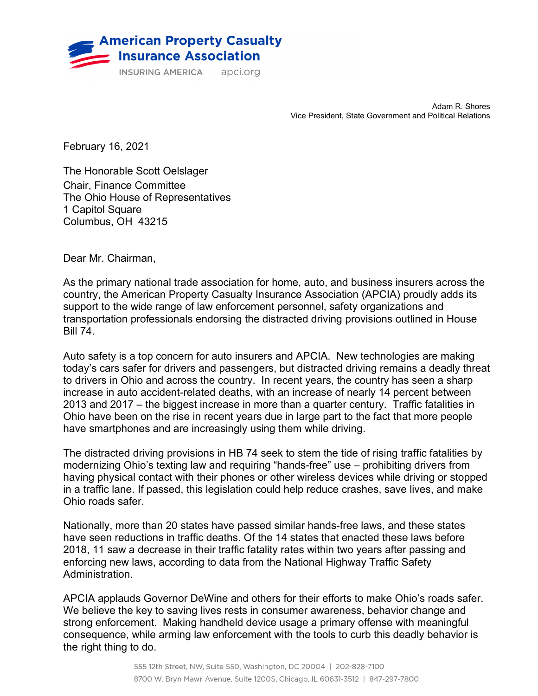

Adam R. Shores Vice President, State Government and Political Relations

February 16, 2021

The Honorable Scott Oelslager Chair, Finance Committee The Ohio House of Representatives 1 Capitol Square Columbus, OH 43215

Dear Mr. Chairman,

As the primary national trade association for home, auto, and business insurers across the country, the American Property Casualty Insurance Association (APCIA) proudly adds its support to the wide range of law enforcement personnel, safety organizations and transportation professionals endorsing the distracted driving provisions outlined in House Bill 74.

Auto safety is a top concern for auto insurers and APCIA. New technologies are making today's cars safer for drivers and passengers, but distracted driving remains a deadly threat to drivers in Ohio and across the country. In recent years, the country has seen a sharp increase in auto accident-related deaths, with an increase of nearly 14 percent between 2013 and 2017 – the biggest increase in more than a quarter century. Traffic fatalities in Ohio have been on the rise in recent years due in large part to the fact that more people have smartphones and are increasingly using them while driving.

The distracted driving provisions in HB 74 seek to stem the tide of rising traffic fatalities by modernizing Ohio's texting law and requiring "hands-free" use – prohibiting drivers from having physical contact with their phones or other wireless devices while driving or stopped in a traffic lane. If passed, this legislation could help reduce crashes, save lives, and make Ohio roads safer.

Nationally, more than 20 states have passed similar hands-free laws, and these states have seen reductions in traffic deaths. Of the 14 states that enacted these laws before 2018, 11 saw a decrease in their traffic fatality rates within two years after passing and enforcing new laws, according to data from the National Highway Traffic Safety Administration.

APCIA applauds Governor DeWine and others for their efforts to make Ohio's roads safer. We believe the key to saving lives rests in consumer awareness, behavior change and strong enforcement. Making handheld device usage a primary offense with meaningful consequence, while arming law enforcement with the tools to curb this deadly behavior is the right thing to do.